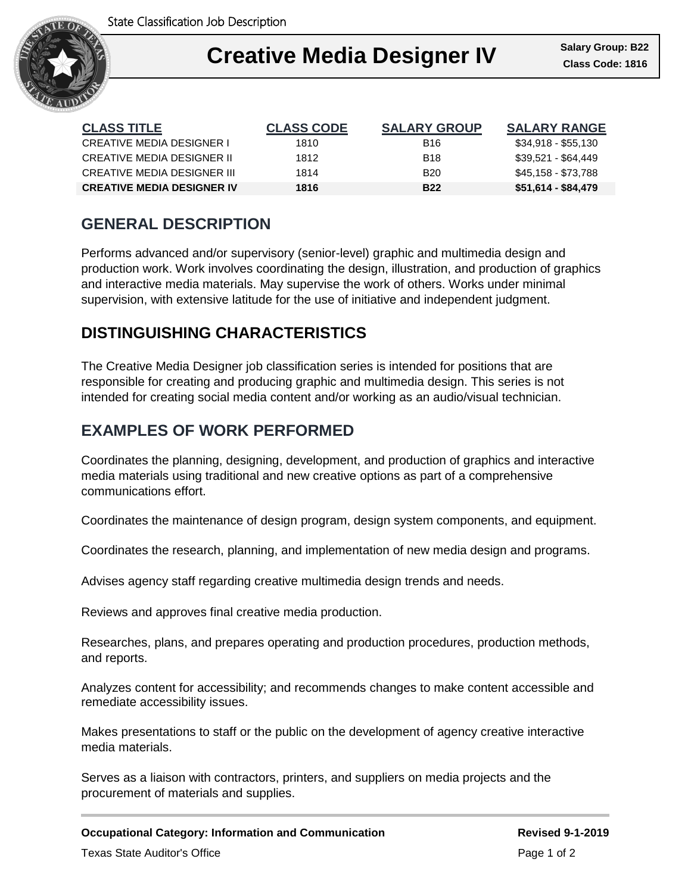

### Ι **Creative Media Designer IV Class Code: 1816**

| <b>CLASS TITLE</b>                | <b>CLASS CODE</b> | <b>SALARY GROUP</b> | <b>SALARY RANGE</b> |
|-----------------------------------|-------------------|---------------------|---------------------|
| CREATIVE MEDIA DESIGNER I         | 1810              | B16                 | \$34,918 - \$55,130 |
| CREATIVE MEDIA DESIGNER II        | 1812              | <b>B</b> 18         | \$39.521 - \$64.449 |
| CREATIVE MEDIA DESIGNER III       | 1814              | B <sub>20</sub>     | \$45,158 - \$73,788 |
| <b>CREATIVE MEDIA DESIGNER IV</b> | 1816              | <b>B22</b>          | \$51,614 - \$84,479 |

# **GENERAL DESCRIPTION**

Performs advanced and/or supervisory (senior-level) graphic and multimedia design and production work. Work involves coordinating the design, illustration, and production of graphics and interactive media materials. May supervise the work of others. Works under minimal supervision, with extensive latitude for the use of initiative and independent judgment.

## **DISTINGUISHING CHARACTERISTICS**

The Creative Media Designer job classification series is intended for positions that are responsible for creating and producing graphic and multimedia design. This series is not intended for creating social media content and/or working as an audio/visual technician.

### **EXAMPLES OF WORK PERFORMED**

Coordinates the planning, designing, development, and production of graphics and interactive media materials using traditional and new creative options as part of a comprehensive communications effort.

Coordinates the maintenance of design program, design system components, and equipment.

Coordinates the research, planning, and implementation of new media design and programs.

Advises agency staff regarding creative multimedia design trends and needs.

Reviews and approves final creative media production.

Researches, plans, and prepares operating and production procedures, production methods, and reports.

Analyzes content for accessibility; and recommends changes to make content accessible and remediate accessibility issues.

Makes presentations to staff or the public on the development of agency creative interactive media materials.

Serves as a liaison with contractors, printers, and suppliers on media projects and the procurement of materials and supplies.